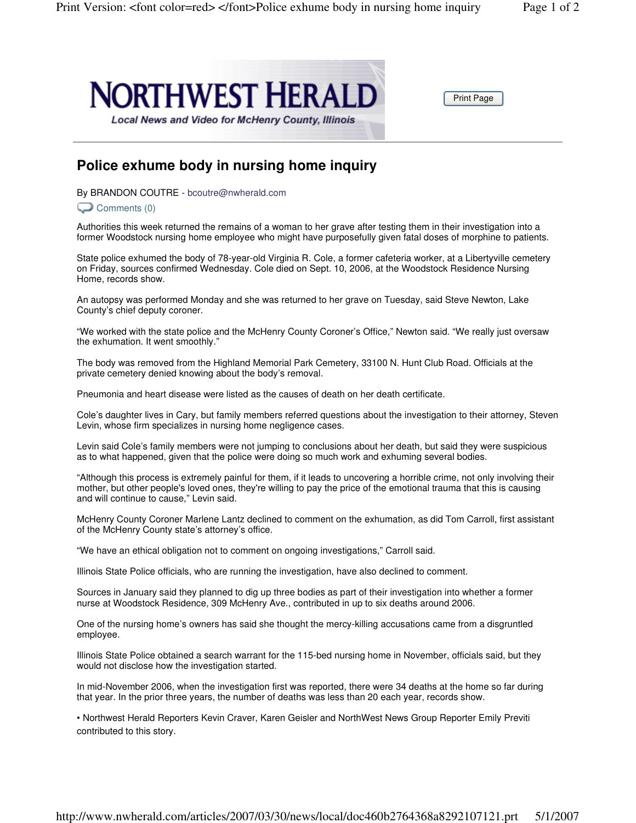

Print Page

## **Police exhume body in nursing home inquiry**

By BRANDON COUTRE - bcoutre@nwherald.com

## Comments (0)

Authorities this week returned the remains of a woman to her grave after testing them in their investigation into a former Woodstock nursing home employee who might have purposefully given fatal doses of morphine to patients.

State police exhumed the body of 78-year-old Virginia R. Cole, a former cafeteria worker, at a Libertyville cemetery on Friday, sources confirmed Wednesday. Cole died on Sept. 10, 2006, at the Woodstock Residence Nursing Home, records show.

An autopsy was performed Monday and she was returned to her grave on Tuesday, said Steve Newton, Lake County's chief deputy coroner.

"We worked with the state police and the McHenry County Coroner's Office," Newton said. "We really just oversaw the exhumation. It went smoothly."

The body was removed from the Highland Memorial Park Cemetery, 33100 N. Hunt Club Road. Officials at the private cemetery denied knowing about the body's removal.

Pneumonia and heart disease were listed as the causes of death on her death certificate.

Cole's daughter lives in Cary, but family members referred questions about the investigation to their attorney, Steven Levin, whose firm specializes in nursing home negligence cases.

Levin said Cole's family members were not jumping to conclusions about her death, but said they were suspicious as to what happened, given that the police were doing so much work and exhuming several bodies.

"Although this process is extremely painful for them, if it leads to uncovering a horrible crime, not only involving their mother, but other people's loved ones, they're willing to pay the price of the emotional trauma that this is causing and will continue to cause," Levin said.

McHenry County Coroner Marlene Lantz declined to comment on the exhumation, as did Tom Carroll, first assistant of the McHenry County state's attorney's office.

"We have an ethical obligation not to comment on ongoing investigations," Carroll said.

Illinois State Police officials, who are running the investigation, have also declined to comment.

Sources in January said they planned to dig up three bodies as part of their investigation into whether a former nurse at Woodstock Residence, 309 McHenry Ave., contributed in up to six deaths around 2006.

One of the nursing home's owners has said she thought the mercy-killing accusations came from a disgruntled employee.

Illinois State Police obtained a search warrant for the 115-bed nursing home in November, officials said, but they would not disclose how the investigation started.

In mid-November 2006, when the investigation first was reported, there were 34 deaths at the home so far during that year. In the prior three years, the number of deaths was less than 20 each year, records show.

• Northwest Herald Reporters Kevin Craver, Karen Geisler and NorthWest News Group Reporter Emily Previti contributed to this story.